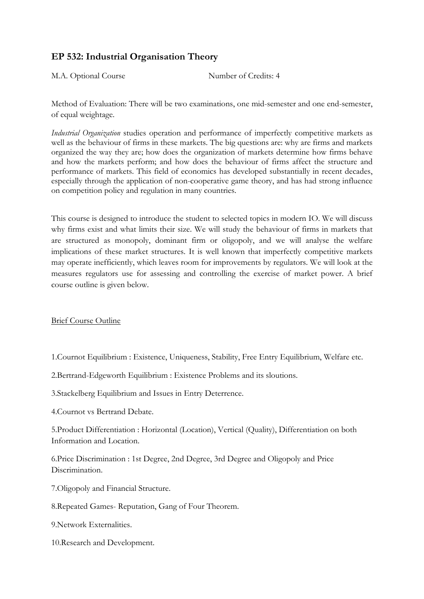## **EP 532: Industrial Organisation Theory**

M.A. Optional Course Number of Credits: 4

Method of Evaluation: There will be two examinations, one mid-semester and one end-semester, of equal weightage.

*Industrial Organization* studies operation and performance of imperfectly competitive markets as well as the behaviour of firms in these markets. The big questions are: why are firms and markets organized the way they are; how does the organization of markets determine how firms behave and how the markets perform; and how does the behaviour of firms affect the structure and performance of markets. This field of economics has developed substantially in recent decades, especially through the application of non-cooperative game theory, and has had strong influence on competition policy and regulation in many countries.

This course is designed to introduce the student to selected topics in modern IO. We will discuss why firms exist and what limits their size. We will study the behaviour of firms in markets that are structured as monopoly, dominant firm or oligopoly, and we will analyse the welfare implications of these market structures. It is well known that imperfectly competitive markets may operate inefficiently, which leaves room for improvements by regulators. We will look at the measures regulators use for assessing and controlling the exercise of market power. A brief course outline is given below.

Brief Course Outline

1.Cournot Equilibrium : Existence, Uniqueness, Stability, Free Entry Equilibrium, Welfare etc.

2.Bertrand-Edgeworth Equilibrium : Existence Problems and its sloutions.

3.Stackelberg Equilibrium and Issues in Entry Deterrence.

4.Cournot vs Bertrand Debate.

5.Product Differentiation : Horizontal (Location), Vertical (Quality), Differentiation on both Information and Location.

6.Price Discrimination : 1st Degree, 2nd Degree, 3rd Degree and Oligopoly and Price Discrimination.

7.Oligopoly and Financial Structure.

8.Repeated Games- Reputation, Gang of Four Theorem.

9.Network Externalities.

10.Research and Development.